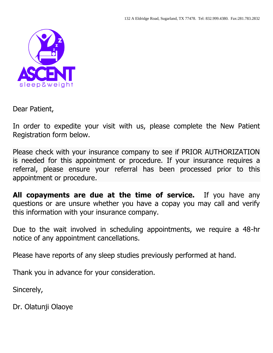

Dear Patient,

In order to expedite your visit with us, please complete the New Patient Registration form below.

Please check with your insurance company to see if PRIOR AUTHORIZATION is needed for this appointment or procedure. If your insurance requires a referral, please ensure your referral has been processed prior to this appointment or procedure.

**All copayments are due at the time of service.** If you have any questions or are unsure whether you have a copay you may call and verify this information with your insurance company.

Due to the wait involved in scheduling appointments, we require a 48-hr notice of any appointment cancellations.

Please have reports of any sleep studies previously performed at hand.

Thank you in advance for your consideration.

Sincerely,

Dr. Olatunji Olaoye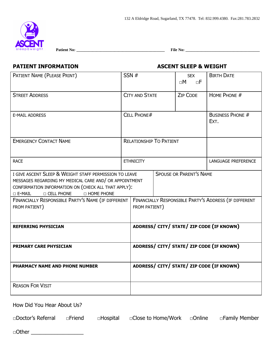

 **Patient No: \_\_\_\_\_\_\_\_\_\_\_\_\_\_\_\_\_\_\_\_\_\_\_\_\_\_\_\_\_\_\_\_\_\_\_\_\_\_\_\_\_\_\_\_ File No: \_\_\_\_\_\_\_\_\_\_\_\_\_\_\_\_\_\_\_\_\_\_\_\_\_\_\_\_\_\_\_\_\_\_\_\_\_** 

# **PATIENT INFORMATION ASCENT SLEEP & WEIGHT**

| PATIENT NAME (PLEASE PRINT)                                                                                                                                                                                                        |                                | SSN#                                                                   |                                 | <b>SEX</b><br>$\square M$<br>$\Box F$ | <b>BIRTH DATE</b>                         |
|------------------------------------------------------------------------------------------------------------------------------------------------------------------------------------------------------------------------------------|--------------------------------|------------------------------------------------------------------------|---------------------------------|---------------------------------------|-------------------------------------------|
| <b>STREET ADDRESS</b>                                                                                                                                                                                                              |                                | <b>CITY AND STATE</b>                                                  |                                 | <b>ZIP CODE</b>                       | HOME PHONE #                              |
| <b>E-MAIL ADDRESS</b>                                                                                                                                                                                                              | <b>CELL PHONE#</b>             |                                                                        | <b>BUSINESS PHONE #</b><br>EXT. |                                       |                                           |
| <b>EMERGENCY CONTACT NAME</b>                                                                                                                                                                                                      | <b>RELATIONSHIP TO PATIENT</b> |                                                                        |                                 |                                       |                                           |
| <b>RACE</b>                                                                                                                                                                                                                        |                                | <b>ETHNICITY</b>                                                       |                                 |                                       | LANGUAGE PREFERENCE                       |
| I GIVE ASCENT SLEEP & WEIGHT STAFF PERMISSION TO LEAVE<br>MESSAGES REGARDING MY MEDICAL CARE AND/ OR APPOINTMENT<br>CONFIRMATION INFORMATION ON (CHECK ALL THAT APPLY):<br><b>D CELL PHONE</b><br>$\square$ E-MAIL<br>□ HOME PHONE |                                |                                                                        |                                 | <b>SPOUSE OR PARENT'S NAME</b>        |                                           |
| FINANCIALLY RESPONSIBLE PARTY'S NAME (IF DIFFERENT<br>FROM PATIENT)                                                                                                                                                                |                                | FINANCIALLY RESPONSIBLE PARTY'S ADDRESS (IF DIFFERENT<br>FROM PATIENT) |                                 |                                       |                                           |
| <b>REFERRING PHYSICIAN</b>                                                                                                                                                                                                         |                                |                                                                        |                                 |                                       | ADDRESS/ CITY/ STATE/ ZIP CODE (IF KNOWN) |
| PRIMARY CARE PHYSICIAN                                                                                                                                                                                                             |                                | ADDRESS/ CITY/ STATE/ ZIP CODE (IF KNOWN)                              |                                 |                                       |                                           |
| PHARMACY NAME AND PHONE NUMBER                                                                                                                                                                                                     |                                |                                                                        |                                 |                                       | ADDRESS/ CITY/ STATE/ ZIP CODE (IF KNOWN) |
| <b>REASON FOR VISIT</b>                                                                                                                                                                                                            |                                |                                                                        |                                 |                                       |                                           |

How Did You Hear About Us?

□Doctor's Referral □Friend □Hospital □Close to Home/Work □Online □Family Member

□Other \_\_\_\_\_\_\_\_\_\_\_\_\_\_\_\_\_\_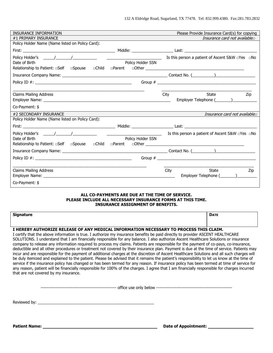| <b>INSURANCE INFORMATION</b>                       |                                  | Please Provide Insurance Card(s) for copying                |
|----------------------------------------------------|----------------------------------|-------------------------------------------------------------|
| #1 PRIMARY INSURANCE                               |                                  | Insurance card not available                                |
| Policy Holder Name (Name listed on Policy Card):   |                                  |                                                             |
|                                                    |                                  |                                                             |
|                                                    |                                  | Is this person a patient of Ascent S&W $\Box$ Yes $\Box$ No |
| Date of Birth                                      | Policy Holder SSN                |                                                             |
| Relationship to Patient: $\Box$ Self $\Box$ Spouse |                                  |                                                             |
|                                                    |                                  |                                                             |
|                                                    |                                  |                                                             |
|                                                    |                                  |                                                             |
| <b>Claims Mailing Address</b>                      |                                  | <b>State</b><br>City<br>Zip                                 |
|                                                    |                                  |                                                             |
| Co-Payment: \$                                     |                                  |                                                             |
| #2 SECONDARY INSURANCE                             |                                  | Insurance card not available                                |
| Policy Holder Name (Name listed on Policy Card):   |                                  |                                                             |
|                                                    |                                  |                                                             |
|                                                    | <u> 1990 - Johann Barbara, m</u> | Is this person a patient of Ascent S&W $\Box$ Yes $\Box$ No |
| Date of Birth                                      | Policy Holder SSN                |                                                             |
| Relationship to Patient: $\Box$ Self $\Box$ Spouse |                                  |                                                             |
|                                                    |                                  |                                                             |
|                                                    |                                  |                                                             |
|                                                    |                                  |                                                             |
| <b>Claims Mailing Address</b>                      |                                  | City<br>State<br>Zip                                        |
|                                                    |                                  |                                                             |
| Co-Payment: \$                                     |                                  |                                                             |

### **ALL CO-PAYMENTS ARE DUE AT THE TIME OF SERVICE. PLEASE INCLUDE ALL NECESSARY INSURANCE FORMS AT THIS TIME. INSURANCE ASSIGNMENT OF BENEFITS.**

| <b>Signature</b> | <b>DATE</b> |
|------------------|-------------|
|                  |             |
|                  |             |

### **I HEREBY AUTHORIZE RELEASE OF ANY MEDICAL INFORMATION NECESSARY TO PROCESS THIS CLAIM.**

I certify that the above information is true. I authorize my insurance benefits be paid directly to provider ASCENT HEALTHCARE SOLUTIONS. I understand that I am financially responsible for any balance. I also authorize Ascent Healthcare Solutions or insurance company to release any information required to process my claims. Patients are responsible for the payment of co-pays, co-insurance, deductible and all other procedures or treatment not covered by their insurance plan. Payment is due at the time of service. Patients may incur and are responsible for the payment of additional charges at the discretion of Ascent Healthcare Solutions and all such charges will be duly itemized and explained to the patient. Please be advised that it remains the patient's responsibility to let us know at the time of service if the insurance policy has changed or has been termed for any reason. If insurance policy has been termed at time of service for any reason, patient will be financially responsible for 100% of the charges. I agree that I am financially responsible for charges incurred that are not covered by my insurance.

|  |  | use only | <b>Delow</b> |  |
|--|--|----------|--------------|--|
|--|--|----------|--------------|--|

Reviewed by: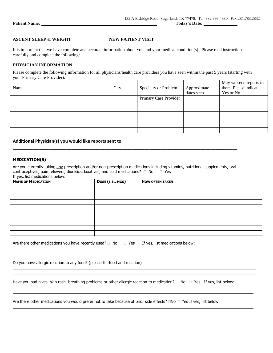$\mathbf{r}$ 

## **ASCENT SLEEP & WEIGHT NEW PATIENT VISIT**

It is important that we have complete and accurate information about you and your medical condition(s). Please read instructions carefully and complete the following:

### **PHYSICIAN INFORMATION**

Please complete the following information for all physicians/health care providers you have seen within the past 5 years (starting with your Primary Care Provider):  $\mathbf{L}$  $\mathbf{I}$  $\mathbf{L}$  $\mathbf{I}$ 

| Name | City | Specialty or Problem  | Approximate<br>dates seen | May we send reports to<br>them. Please indicate<br>Yes or No |
|------|------|-----------------------|---------------------------|--------------------------------------------------------------|
|      |      | Primary Care Provider |                           |                                                              |
|      |      |                       |                           |                                                              |
|      |      |                       |                           |                                                              |
|      |      |                       |                           |                                                              |
|      |      |                       |                           |                                                              |
|      |      |                       |                           |                                                              |
|      |      |                       |                           |                                                              |

### **Additional Physician(s) you would like reports sent to:**

### **MEDICATION(S)**

Are you currently taking any prescription and/or non-prescription medications including vitamins, nutritional supplements, oral contraceptives, pain relievers, diuretics, laxatives, and cold medications?  $\Box$  No  $\Box$  Yes If yes, list medications below:

**\_\_\_\_\_\_\_\_\_\_\_\_\_\_\_\_\_\_\_\_\_\_\_\_\_\_\_\_\_\_\_\_\_\_\_\_\_\_\_\_\_\_\_\_\_\_\_\_\_\_\_\_\_\_\_\_\_\_\_\_\_\_\_\_\_\_\_\_\_\_\_\_\_\_\_\_\_\_\_\_\_\_\_\_\_\_\_\_\_\_\_\_**

| <b>NAME OF MEDICATION</b> | DOSE (I.E., MGS) | <b>HOW OFTEN TAKEN</b> |
|---------------------------|------------------|------------------------|
|                           |                  |                        |
|                           |                  |                        |
|                           |                  |                        |
|                           |                  |                        |
|                           |                  |                        |
|                           |                  |                        |
|                           |                  |                        |
|                           |                  |                        |
|                           |                  |                        |
|                           |                  |                        |

\_\_\_\_\_\_\_\_\_\_\_\_\_\_\_\_\_\_\_\_\_\_\_\_\_\_\_\_\_\_\_\_\_\_\_\_\_\_\_\_\_\_\_\_\_\_\_\_\_\_\_\_\_\_\_\_\_\_\_\_\_\_\_\_\_\_\_\_\_\_\_\_\_\_\_\_\_\_\_\_\_\_\_\_\_\_\_\_\_\_\_\_\_\_\_\_\_\_\_\_\_\_\_\_\_\_\_\_\_\_\_ \_\_\_\_\_\_\_\_\_\_\_\_\_\_\_\_\_\_\_\_\_\_\_\_\_\_\_\_\_\_\_\_\_\_\_\_\_\_\_\_\_\_\_\_\_\_\_\_\_\_\_\_\_\_\_\_\_\_\_\_\_\_\_\_\_\_\_\_\_\_\_\_\_\_\_\_\_\_\_\_\_\_\_\_\_\_\_\_\_\_\_\_\_\_\_\_\_\_\_\_\_\_\_\_\_\_\_\_\_\_\_

| Are there other medications you have recently used? $\Box$ No $\Box$ Yes If yes, list medications below: |  |  |
|----------------------------------------------------------------------------------------------------------|--|--|
|----------------------------------------------------------------------------------------------------------|--|--|

Do you have allergic reaction to any food? (please list food and reaction)

Have you had hives, skin rash, breathing problems or other allergic reaction to medication?  $\Box$  No  $\Box$  Yes If yes, list below:

Are there other medications you would prefer not to take because of prior side effects?  $\Box$ No  $\Box$  Yes If yes, list below: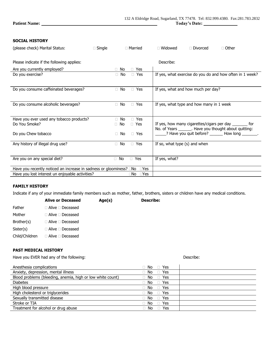### **SOCIAL HISTORY**

| (please check) Marital Status:                                                             | $\Box$ Single | □ Married            | $\Box$ Widowed                           | □ Divorced | $\Box$ Other                                                     |
|--------------------------------------------------------------------------------------------|---------------|----------------------|------------------------------------------|------------|------------------------------------------------------------------|
|                                                                                            |               |                      |                                          |            |                                                                  |
| Please indicate if the following applies:                                                  |               |                      | Describe:                                |            |                                                                  |
| Are you currently employed?                                                                | $\Box$ No     | $\Box$ Yes           |                                          |            |                                                                  |
| Do you exercise?                                                                           | $\Box$ No     | □ Yes                |                                          |            | If yes, what exercise do you do and how often in 1 week?         |
|                                                                                            |               |                      |                                          |            |                                                                  |
| Do you consume caffeinated beverages?                                                      | $\Box$ No     | $\Box$ Yes           | If yes, what and how much per day?       |            |                                                                  |
|                                                                                            |               |                      |                                          |            |                                                                  |
|                                                                                            |               |                      |                                          |            |                                                                  |
| Do you consume alcoholic beverages?                                                        | $\Box$ No     | $\Box$ Yes           | If yes, what type and how many in 1 week |            |                                                                  |
|                                                                                            |               |                      |                                          |            |                                                                  |
| Have you ever used any tobacco products?                                                   | $\Box$ No     | $\Box$ Yes           |                                          |            |                                                                  |
| Do You Smoke?                                                                              | $\Box$ No     | □ Yes                |                                          |            | If yes, how many cigarettes/cigars per day ________ for          |
|                                                                                            |               |                      |                                          |            | No. of Years _______. Have you thought about quitting:           |
| Do you Chew tobacco                                                                        | $\Box$ No     | □ Yes                |                                          |            | $\frac{1}{2}$ ? Have you quit before? _______ How long ________. |
| Any history of illegal drug use?                                                           | $\Box$ No     | □ Yes                | If so, what type (s) and when            |            |                                                                  |
|                                                                                            |               |                      |                                          |            |                                                                  |
|                                                                                            |               |                      |                                          |            |                                                                  |
| Are you on any special diet?                                                               | $\Box$ No     | $\Box$ Yes           | If yes, what?                            |            |                                                                  |
| Have you recently noticed an increase in sadness or gloominess? $\square$ No $\square$ Yes |               |                      |                                          |            |                                                                  |
| Have you lost interest un enjoyable activities?                                            |               | $\Box$ No $\Box$ Yes |                                          |            |                                                                  |

### **FAMILY HISTORY**

Indicate if any of your immediate family members such as mother, father, brothers, sisters or children have any medical conditions.

|                | <b>Alive or Deceased</b>     | Age(s) | <b>Describe:</b> |
|----------------|------------------------------|--------|------------------|
| Father         | $\Box$ Alive $\Box$ Deceased |        |                  |
| Mother         | $\Box$ Alive $\Box$ Deceased |        |                  |
| Brother(s)     | $\Box$ Alive $\Box$ Deceased |        |                  |
| Sister(s)      | $\Box$ Alive $\Box$ Deceased |        |                  |
| Child/Children | $\Box$ Alive $\Box$ Deceased |        |                  |
|                |                              |        |                  |

# **PAST MEDICAL HISTORY**

Have you EVER had any of the following: The same of the state of the secribe: Describe:

| Anesthesia complications                                   | $\Box$ No $\Box$ Yes |  |
|------------------------------------------------------------|----------------------|--|
| Anxiety, depression, mental illness                        | $No \square Yes$     |  |
| Blood problems (bleeding, anemia, high or low white count) | $No \square Yes$     |  |
| <b>Diabetes</b>                                            | $\Box$ No $\Box$ Yes |  |
| High blood pressure                                        | $\Box$ No $\Box$ Yes |  |
| High cholesterol or triglycerides                          | $\Box$ No $\Box$ Yes |  |
| Sexually transmitted disease                               | $\Box$ No $\Box$ Yes |  |
| Stroke or TIA                                              | $\Box$ No $\Box$ Yes |  |
| Treatment for alcohol or drug abuse                        | $\Box$ No $\Box$ Yes |  |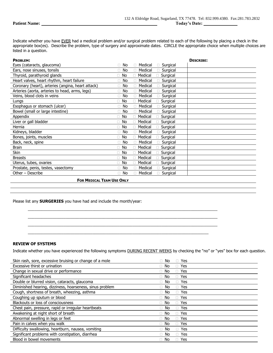Indicate whether you have EVER had a medical problem and/or surgical problem related to each of the following by placing a check in the appropriate box(es). Describe the problem, type of surgery and approximate dates. CIRCLE the appropriate choice when multiple choices are listed in a question.

| <b>PROBLEM:</b>                                   |           |                     | <b>DESCRIBE:</b> |
|---------------------------------------------------|-----------|---------------------|------------------|
| Eyes (cataracts, glaucoma)                        | $\Box$ No | Medical<br>Surgical |                  |
| Ears, nose sinuses, tonsils                       | $\Box$ No | Medical<br>Surgical |                  |
| Thyroid, parathyroid glands                       | $\Box$ No | Medical<br>Surgical |                  |
| Heart valves, heart rhythm, heart failure         | No        | Medical<br>Surgical |                  |
| Coronary (heart), arteries (angina, heart attack) | $\Box$ No | Medical<br>Surgical |                  |
| Arteries (aorta, arteries to head, arms, legs)    | No<br>П.  | Medical<br>Surgical |                  |
| Veins, blood clots in veins                       | $\Box$ No | Medical<br>Surgical |                  |
| Lungs                                             | $\Box$ No | Medical<br>Surgical |                  |
| Esophagus or stomach (ulcer)                      | $\Box$ No | Medical<br>Surgical |                  |
| Bowel (small or large intestine)                  | $\Box$ No | Medical<br>Surgical |                  |
| Appendix                                          | No<br>п   | Medical<br>Surgical |                  |
| Liver or gall bladder                             | $\Box$ No | Medical<br>Surgical |                  |
| Hernia                                            | $\Box$ No | Medical<br>Surgical |                  |
| Kidneys, bladder                                  | $\Box$ No | Medical<br>Surgical |                  |
| Bones, joints, muscles                            | $\Box$ No | Medical<br>Surgical |                  |
| Back, neck, spine                                 | No        | Medical<br>Surgical |                  |
| <b>Brain</b>                                      | $\Box$ No | Medical<br>Surgical |                  |
| Skin                                              | $\Box$ No | Medical<br>Surgical |                  |
| <b>Breasts</b>                                    | $\Box$ No | Medical<br>Surgical |                  |
| Uterus, tubes, ovaries                            | $\Box$ No | Medical<br>Surgical |                  |
| Prostate, penis, testes, vasectomy                | No<br>П.  | Medical<br>Surgical |                  |
| Other - Describe                                  | No<br>П.  | Medical<br>Surgical |                  |
|                                                   |           |                     |                  |

### **FOR MEDICAL TEAM USE ONLY**

Please list any **SURGERIES** you have had and include the month/year:

### **REVIEW OF SYSTEMS**

Indicate whether you have experienced the following symptoms **DURING RECENT WEEKS** by checking the "no" or "yes" box for each question.

 $\_$  ,  $\_$  ,  $\_$  ,  $\_$  ,  $\_$  ,  $\_$  ,  $\_$  ,  $\_$  ,  $\_$  ,  $\_$  ,  $\_$  ,  $\_$  ,  $\_$  ,  $\_$  ,  $\_$  ,  $\_$  ,  $\_$  ,  $\_$  ,  $\_$  ,  $\_$  ,  $\_$  ,  $\_$  ,  $\_$  ,  $\_$  ,  $\_$  ,  $\_$  ,  $\_$  ,  $\_$  ,  $\_$  ,  $\_$  ,  $\_$  ,  $\_$  ,  $\_$  ,  $\_$  ,  $\_$  ,  $\_$  ,  $\_$  ,  $\mathcal{L}_\mathcal{L} = \{ \mathcal{L}_\mathcal{L} = \{ \mathcal{L}_\mathcal{L} = \{ \mathcal{L}_\mathcal{L} = \{ \mathcal{L}_\mathcal{L} = \{ \mathcal{L}_\mathcal{L} = \{ \mathcal{L}_\mathcal{L} = \{ \mathcal{L}_\mathcal{L} = \{ \mathcal{L}_\mathcal{L} = \{ \mathcal{L}_\mathcal{L} = \{ \mathcal{L}_\mathcal{L} = \{ \mathcal{L}_\mathcal{L} = \{ \mathcal{L}_\mathcal{L} = \{ \mathcal{L}_\mathcal{L} = \{ \mathcal{L}_\mathcal{$ \_\_\_\_\_\_\_\_\_\_\_\_\_\_\_\_\_\_\_\_\_\_\_\_\_\_\_\_\_\_\_\_\_\_\_\_\_\_\_\_\_\_\_\_\_\_\_\_\_\_\_\_\_\_\_\_\_\_\_\_\_\_\_\_\_\_\_\_\_\_\_\_\_\_\_\_\_\_\_\_\_\_\_\_\_ \_\_\_\_\_\_\_\_\_\_\_\_\_\_\_\_\_\_\_\_\_\_\_\_\_\_\_\_\_\_\_\_\_\_\_\_\_\_\_\_\_\_\_\_\_\_\_\_\_\_\_\_\_\_\_\_\_\_\_\_\_\_\_\_\_\_\_\_\_\_\_\_\_\_\_\_\_\_\_\_\_

| Skin rash, sore, excessive bruising or change of a mole  | Yes<br>No                       |
|----------------------------------------------------------|---------------------------------|
| Excessive thirst or urination                            | No<br>Yes<br>$\Box$<br>H        |
| Change in sexual drive or performance                    | □ Yes<br>No.<br>П.              |
| Significant headaches                                    | Yes<br>No<br>$\Box$<br>П        |
| Double or blurred vision, cataracts, glaucoma            | No<br>Yes<br>$\Box$             |
| Diminished hearing, dizziness, hoarseness, sinus problem | $\Box$ Yes<br>No.<br>П          |
| Cough, shortness of breath, wheezing, asthma             | <b>Yes</b><br>No<br>$\Box$<br>п |
| Coughing up sputum or blood                              | $\Box$ No<br>$\Box$ Yes         |
| Blackouts or loss of consciousness                       | No<br>$\Box$ Yes<br>П.          |
| Chest pain, pressure, rapid or irregular heartbeats      | No<br>Yes<br>$\Box$             |
| Awakening at night short of breath                       | No<br>Yes<br>$\Box$<br>H        |
| Abnormal swelling in legs or feet                        | No<br>$\Box$ Yes<br>П.          |
| Pain in calves when you walk                             | No<br>□ Yes<br>П.               |
| Difficulty swallowing, heartburn, nausea, vomiting       | Yes<br>No.<br>$\Box$<br>П.      |
| Significant problems with constipation, diarrhea         | $\Box$ Yes<br>No.<br>П.         |
| Blood in bowel movements                                 | $\Box$ Yes<br>No.<br>П.         |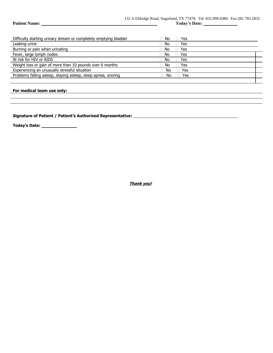| <b>Patient Name:</b> |  |
|----------------------|--|
|----------------------|--|

| Difficulty starting urinary stream or completely emptying bladder | D Yes<br>No.         |  |
|-------------------------------------------------------------------|----------------------|--|
| Leaking urine                                                     | □ Yes<br>No          |  |
| Burning or pain when urinating                                    | □ Yes<br>No          |  |
| Fever, large lymph nodes                                          | □ Yes<br>No.         |  |
| At risk for HIV or AIDS                                           | ⊟ Yes<br>$\Box$ No   |  |
| Weight loss or gain of more than 10 pounds over 6 months          | □ Yes<br>No.         |  |
| Experiencing an unusually stressful situation                     | □ Yes<br>$\Box$ No   |  |
| Problems falling asleep, staying asleep, sleep apnea, snoring     | $\Box$ No $\Box$ Yes |  |
|                                                                   |                      |  |

### **For medical team use only:**

**Signature of Patient / Patient's Authorized Representative:** 

**Today's Date:** 

**Thank you!**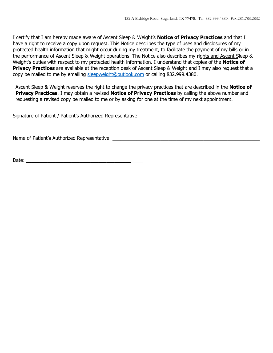I certify that I am hereby made aware of Ascent Sleep & Weight's **Notice of Privacy Practices** and that I have a right to receive a copy upon request. This Notice describes the type of uses and disclosures of my protected health information that might occur during my treatment, to facilitate the payment of my bills or in the performance of Ascent Sleep & Weight operations. The Notice also describes my rights and Ascent Sleep & Weight's duties with respect to my protected health information. I understand that copies of the **Notice of Privacy Practices** are available at the reception desk of Ascent Sleep & Weight and I may also request that a copy be mailed to me by emailing [sleepweight@outlook.com](mailto:sleepweight@outlook.com) or calling 832.999.4380.

Ascent Sleep & Weight reserves the right to change the privacy practices that are described in the **Notice of Privacy Practices**. I may obtain a revised **Notice of Privacy Practices** by calling the above number and requesting a revised copy be mailed to me or by asking for one at the time of my next appointment.

Signature of Patient / Patient's Authorized Representative: \_\_\_\_\_\_\_\_\_\_\_\_\_\_\_\_\_\_\_\_

Name of Patient's Authorized Representative: \_\_\_\_\_\_\_\_\_\_\_\_\_\_\_\_\_\_\_\_\_\_\_\_\_\_\_\_\_\_\_\_\_\_\_

Date: $\frac{1}{\sqrt{2}}$